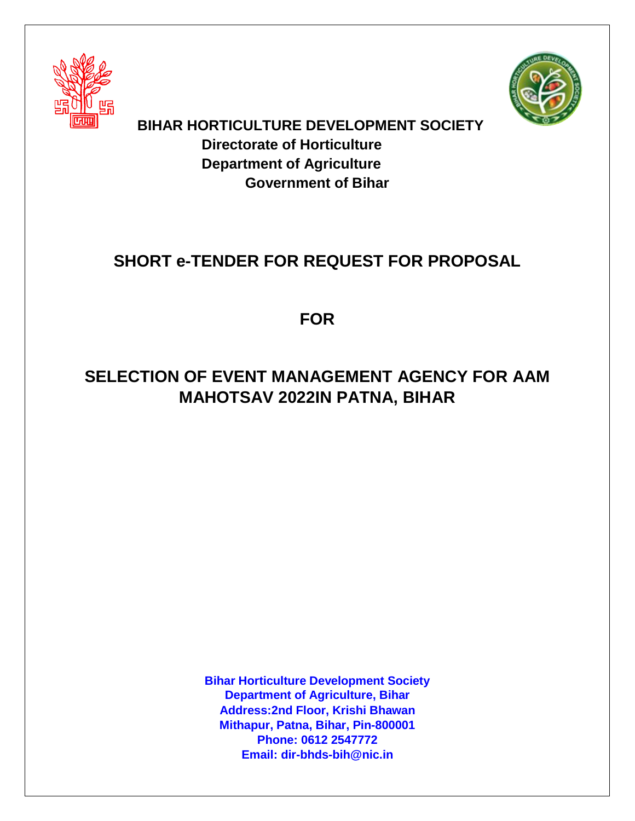



**BIHAR HORTICULTURE DEVELOPMENT SOCIETY Directorate of Horticulture Department of Agriculture Government of Bihar**

# **SHORT e-TENDER FOR REQUEST FOR PROPOSAL**

**FOR**

# **SELECTION OF EVENT MANAGEMENT AGENCY FOR AAM MAHOTSAV 2022IN PATNA, BIHAR**

**Bihar Horticulture Development Society Department of Agriculture, Bihar Address:2nd Floor, Krishi Bhawan Mithapur, Patna, Bihar, Pin-800001 Phone: 0612 2547772 Email: dir-bhds-bih@nic.in**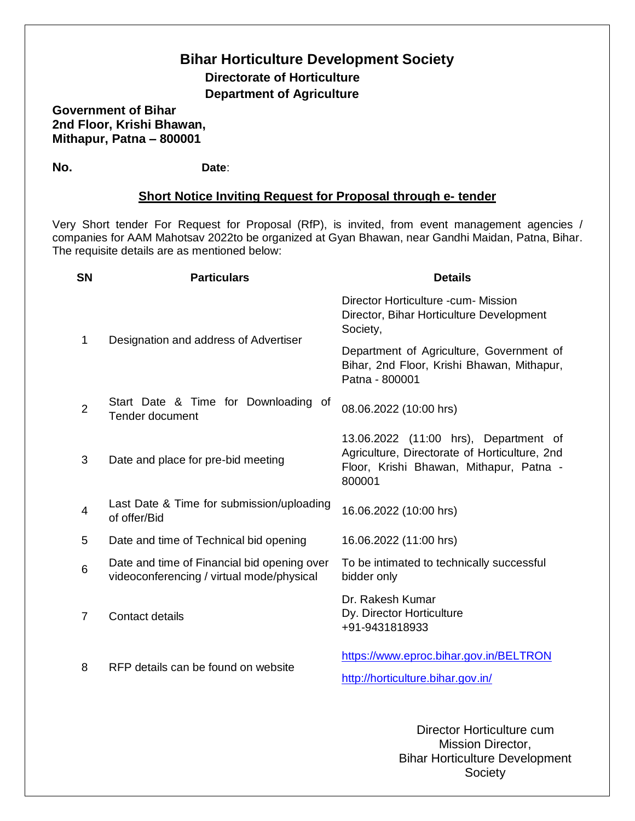# **Bihar Horticulture Development Society Directorate of Horticulture Department of Agriculture**

**Government of Bihar 2nd Floor, Krishi Bhawan, Mithapur, Patna – 800001**

**No. Date**:

## **Short Notice Inviting Request for Proposal through e- tender**

Very Short tender For Request for Proposal (RfP), is invited, from event management agencies / companies for AAM Mahotsav 2022to be organized at Gyan Bhawan, near Gandhi Maidan, Patna, Bihar. The requisite details are as mentioned below:

| <b>SN</b>      | <b>Particulars</b>                                                                       | <b>Details</b>                                                                                                                              |
|----------------|------------------------------------------------------------------------------------------|---------------------------------------------------------------------------------------------------------------------------------------------|
| 1              | Designation and address of Advertiser                                                    | Director Horticulture -cum- Mission<br>Director, Bihar Horticulture Development<br>Society,                                                 |
|                |                                                                                          | Department of Agriculture, Government of<br>Bihar, 2nd Floor, Krishi Bhawan, Mithapur,<br>Patna - 800001                                    |
| $\overline{2}$ | Start Date & Time for Downloading of<br><b>Tender document</b>                           | 08.06.2022 (10:00 hrs)                                                                                                                      |
| 3              | Date and place for pre-bid meeting                                                       | 13.06.2022 (11:00 hrs), Department of<br>Agriculture, Directorate of Horticulture, 2nd<br>Floor, Krishi Bhawan, Mithapur, Patna -<br>800001 |
| 4              | Last Date & Time for submission/uploading<br>of offer/Bid                                | 16.06.2022 (10:00 hrs)                                                                                                                      |
| 5              | Date and time of Technical bid opening                                                   | 16.06.2022 (11:00 hrs)                                                                                                                      |
| 6              | Date and time of Financial bid opening over<br>videoconferencing / virtual mode/physical | To be intimated to technically successful<br>bidder only                                                                                    |
| $\overline{7}$ | Contact details                                                                          | Dr. Rakesh Kumar<br>Dy. Director Horticulture<br>+91-9431818933                                                                             |
| 8              | RFP details can be found on website                                                      | https://www.eproc.bihar.gov.in/BELTRON<br>http://horticulture.bihar.gov.in/                                                                 |
|                |                                                                                          |                                                                                                                                             |

Director Horticulture cum Mission Director, Bihar Horticulture Development **Society**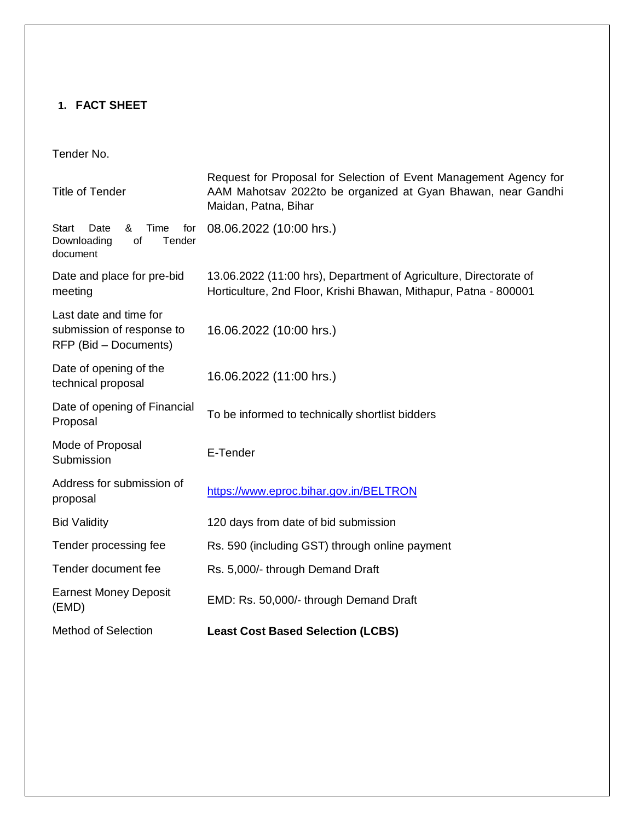# **1. FACT SHEET**

# Tender No.

| <b>Title of Tender</b>                                                              | Request for Proposal for Selection of Event Management Agency for<br>AAM Mahotsav 2022to be organized at Gyan Bhawan, near Gandhi<br>Maidan, Patna, Bihar |  |  |
|-------------------------------------------------------------------------------------|-----------------------------------------------------------------------------------------------------------------------------------------------------------|--|--|
| <b>Start</b><br>Time<br>for<br>Date<br>&<br>Tender<br>Downloading<br>οf<br>document | 08.06.2022 (10:00 hrs.)                                                                                                                                   |  |  |
| Date and place for pre-bid<br>meeting                                               | 13.06.2022 (11:00 hrs), Department of Agriculture, Directorate of<br>Horticulture, 2nd Floor, Krishi Bhawan, Mithapur, Patna - 800001                     |  |  |
| Last date and time for<br>submission of response to<br>RFP (Bid – Documents)        | 16.06.2022 (10:00 hrs.)                                                                                                                                   |  |  |
| Date of opening of the<br>technical proposal                                        | 16.06.2022 (11:00 hrs.)                                                                                                                                   |  |  |
| Date of opening of Financial<br>Proposal                                            | To be informed to technically shortlist bidders                                                                                                           |  |  |
| Mode of Proposal<br>Submission                                                      | E-Tender                                                                                                                                                  |  |  |
| Address for submission of<br>proposal                                               | https://www.eproc.bihar.gov.in/BELTRON                                                                                                                    |  |  |
| <b>Bid Validity</b>                                                                 | 120 days from date of bid submission                                                                                                                      |  |  |
| Tender processing fee                                                               | Rs. 590 (including GST) through online payment                                                                                                            |  |  |
| Tender document fee                                                                 | Rs. 5,000/- through Demand Draft                                                                                                                          |  |  |
| <b>Earnest Money Deposit</b><br>(EMD)                                               | EMD: Rs. 50,000/- through Demand Draft                                                                                                                    |  |  |
| <b>Method of Selection</b>                                                          | <b>Least Cost Based Selection (LCBS)</b>                                                                                                                  |  |  |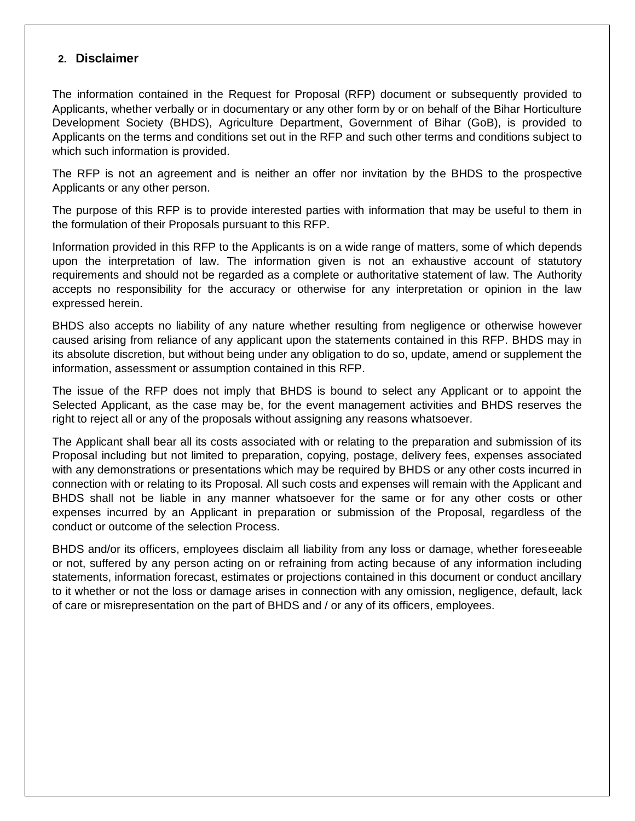### **2. Disclaimer**

The information contained in the Request for Proposal (RFP) document or subsequently provided to Applicants, whether verbally or in documentary or any other form by or on behalf of the Bihar Horticulture Development Society (BHDS), Agriculture Department, Government of Bihar (GoB), is provided to Applicants on the terms and conditions set out in the RFP and such other terms and conditions subject to which such information is provided.

The RFP is not an agreement and is neither an offer nor invitation by the BHDS to the prospective Applicants or any other person.

The purpose of this RFP is to provide interested parties with information that may be useful to them in the formulation of their Proposals pursuant to this RFP.

Information provided in this RFP to the Applicants is on a wide range of matters, some of which depends upon the interpretation of law. The information given is not an exhaustive account of statutory requirements and should not be regarded as a complete or authoritative statement of law. The Authority accepts no responsibility for the accuracy or otherwise for any interpretation or opinion in the law expressed herein.

BHDS also accepts no liability of any nature whether resulting from negligence or otherwise however caused arising from reliance of any applicant upon the statements contained in this RFP. BHDS may in its absolute discretion, but without being under any obligation to do so, update, amend or supplement the information, assessment or assumption contained in this RFP.

The issue of the RFP does not imply that BHDS is bound to select any Applicant or to appoint the Selected Applicant, as the case may be, for the event management activities and BHDS reserves the right to reject all or any of the proposals without assigning any reasons whatsoever.

The Applicant shall bear all its costs associated with or relating to the preparation and submission of its Proposal including but not limited to preparation, copying, postage, delivery fees, expenses associated with any demonstrations or presentations which may be required by BHDS or any other costs incurred in connection with or relating to its Proposal. All such costs and expenses will remain with the Applicant and BHDS shall not be liable in any manner whatsoever for the same or for any other costs or other expenses incurred by an Applicant in preparation or submission of the Proposal, regardless of the conduct or outcome of the selection Process.

BHDS and/or its officers, employees disclaim all liability from any loss or damage, whether foreseeable or not, suffered by any person acting on or refraining from acting because of any information including statements, information forecast, estimates or projections contained in this document or conduct ancillary to it whether or not the loss or damage arises in connection with any omission, negligence, default, lack of care or misrepresentation on the part of BHDS and / or any of its officers, employees.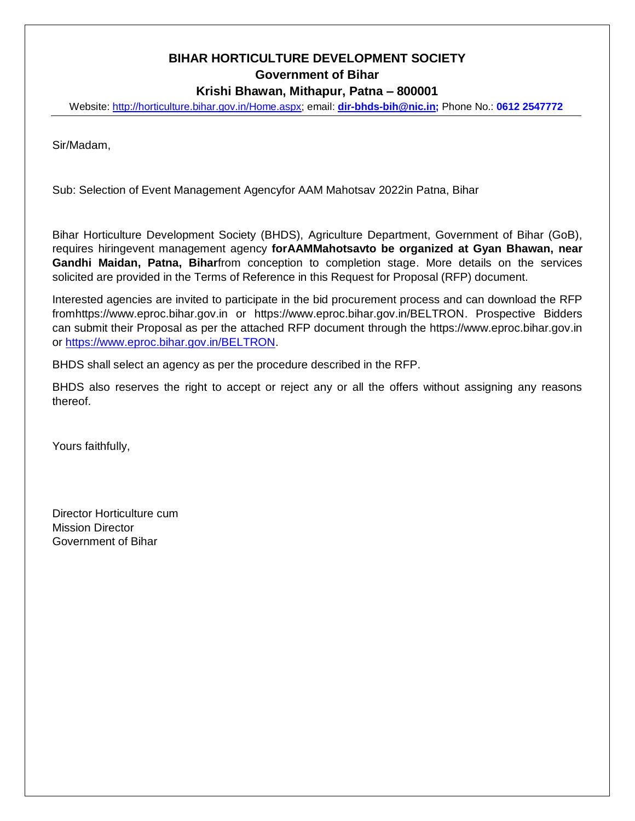# **BIHAR HORTICULTURE DEVELOPMENT SOCIETY Government of Bihar Krishi Bhawan, Mithapur, Patna – 800001**

Website: [http://horticulture.bihar.gov.in/Home.aspx;](http://horticulture.bihar.gov.in/Home.aspx) email: **[dir-bhds-bih@nic.in;](mailto:dir-bhds-bih@nic.in)** Phone No.: **0612 2547772**

Sir/Madam,

Sub: Selection of Event Management Agencyfor AAM Mahotsav 2022in Patna, Bihar

Bihar Horticulture Development Society (BHDS), Agriculture Department, Government of Bihar (GoB), requires hiringevent management agency **forAAMMahotsavto be organized at Gyan Bhawan, near Gandhi Maidan, Patna, Bihar**from conception to completion stage. More details on the services solicited are provided in the Terms of Reference in this Request for Proposal (RFP) document.

Interested agencies are invited to participate in the bid procurement process and can download the RFP fromhttps://www.eproc.bihar.gov.in or https://www.eproc.bihar.gov.in/BELTRON. Prospective Bidders can submit their Proposal as per the attached RFP document through the https://www.eproc.bihar.gov.in or [https://www.eproc.bihar.gov.in/BELTRON.](https://www.eproc.bihar.gov.in/BELTRON)

BHDS shall select an agency as per the procedure described in the RFP.

BHDS also reserves the right to accept or reject any or all the offers without assigning any reasons thereof.

Yours faithfully,

Director Horticulture cum Mission Director Government of Bihar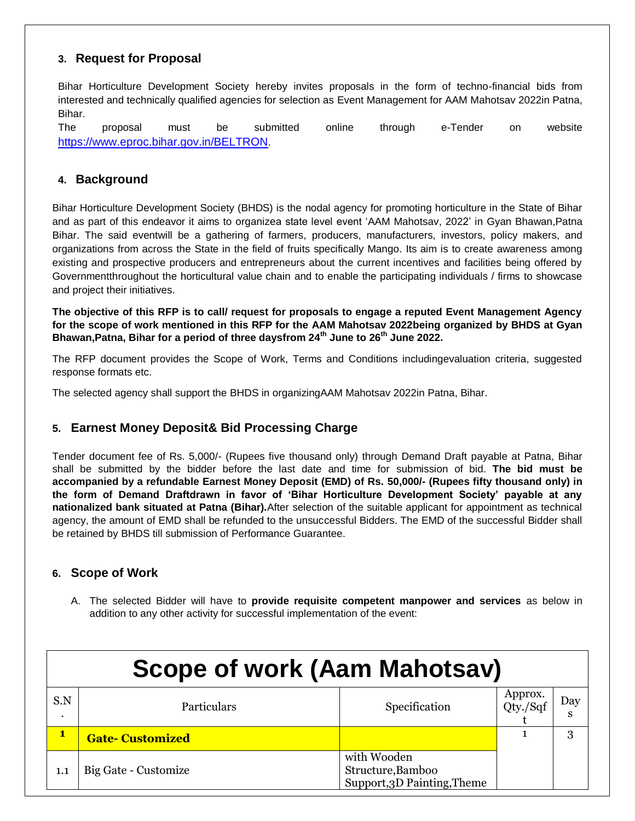## **3. Request for Proposal**

Bihar Horticulture Development Society hereby invites proposals in the form of techno-financial bids from interested and technically qualified agencies for selection as Event Management for AAM Mahotsav 2022in Patna, Bihar.

The proposal must be submitted online through e-Tender on website <https://www.eproc.bihar.gov.in/BELTRON>.

### **4. Background**

Bihar Horticulture Development Society (BHDS) is the nodal agency for promoting horticulture in the State of Bihar and as part of this endeavor it aims to organizea state level event 'AAM Mahotsav, 2022' in Gyan Bhawan,Patna Bihar. The said eventwill be a gathering of farmers, producers, manufacturers, investors, policy makers, and organizations from across the State in the field of fruits specifically Mango. Its aim is to create awareness among existing and prospective producers and entrepreneurs about the current incentives and facilities being offered by Governmentthroughout the horticultural value chain and to enable the participating individuals / firms to showcase and project their initiatives.

**The objective of this RFP is to call/ request for proposals to engage a reputed Event Management Agency for the scope of work mentioned in this RFP for the AAM Mahotsav 2022being organized by BHDS at Gyan Bhawan,Patna, Bihar for a period of three daysfrom 24th June to 26th June 2022.**

The RFP document provides the Scope of Work, Terms and Conditions includingevaluation criteria, suggested response formats etc.

The selected agency shall support the BHDS in organizingAAM Mahotsav 2022in Patna, Bihar.

## **5. Earnest Money Deposit& Bid Processing Charge**

Tender document fee of Rs. 5,000/- (Rupees five thousand only) through Demand Draft payable at Patna, Bihar shall be submitted by the bidder before the last date and time for submission of bid. **The bid must be accompanied by a refundable Earnest Money Deposit (EMD) of Rs. 50,000/- (Rupees fifty thousand only) in the form of Demand Draftdrawn in favor of 'Bihar Horticulture Development Society' payable at any nationalized bank situated at Patna (Bihar).**After selection of the suitable applicant for appointment as technical agency, the amount of EMD shall be refunded to the unsuccessful Bidders. The EMD of the successful Bidder shall be retained by BHDS till submission of Performance Guarantee.

### **6. Scope of Work**

A. The selected Bidder will have to **provide requisite competent manpower and services** as below in addition to any other activity for successful implementation of the event:

|                  | <b>Scope of work (Aam Mahotsav)</b>                 |                                                                 |  |   |  |  |
|------------------|-----------------------------------------------------|-----------------------------------------------------------------|--|---|--|--|
| S.N<br>$\bullet$ | Approx.<br>Qty./Sqf<br>Specification<br>Particulars |                                                                 |  |   |  |  |
| $\mathbf{1}$     | <b>Gate-Customized</b>                              |                                                                 |  | 3 |  |  |
|                  | Big Gate - Customize                                | with Wooden<br>Structure, Bamboo<br>Support, 3D Painting, Theme |  |   |  |  |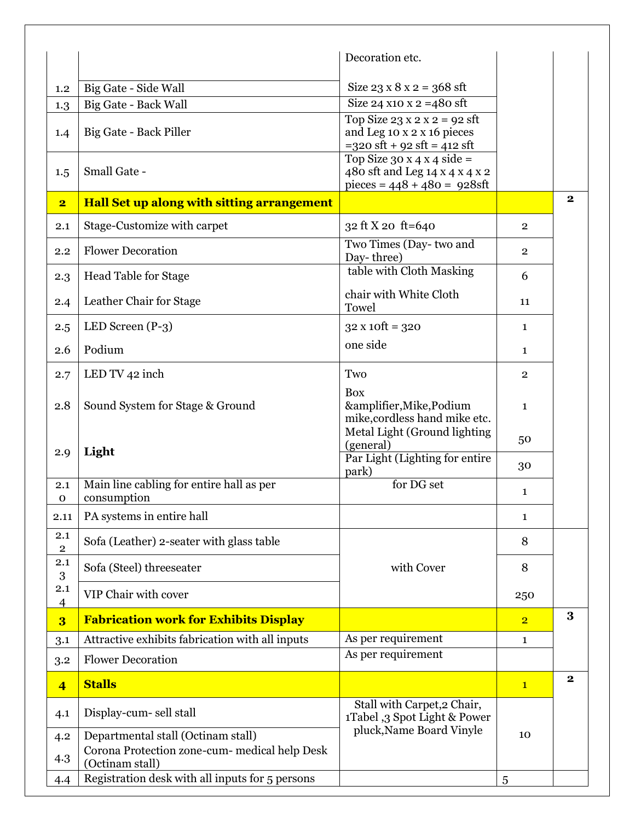|                                |                                                                  | Decoration etc.                                                                                                                 |                |              |
|--------------------------------|------------------------------------------------------------------|---------------------------------------------------------------------------------------------------------------------------------|----------------|--------------|
| 1.2                            | Big Gate - Side Wall                                             | Size $23 \times 8 \times 2 = 368$ sft                                                                                           |                |              |
| 1.3                            | <b>Big Gate - Back Wall</b>                                      | Size 24 x10 x 2 = 480 sft                                                                                                       |                |              |
| 1.4                            | Big Gate - Back Piller                                           | Top Size $23 \times 2 \times 2 = 92$ sft<br>and Leg 10 x 2 x 16 pieces<br>$=320 \text{ sft} + 92 \text{ sft} = 412 \text{ sft}$ |                |              |
| 1.5                            | Small Gate -                                                     | Top Size 30 x 4 x 4 side =<br>480 sft and Leg 14 x 4 x 4 x 2<br>pieces = $448 + 480 = 928$ sft                                  |                |              |
| $\overline{\mathbf{2}}$        | Hall Set up along with sitting arrangement                       |                                                                                                                                 |                | $\bf{2}$     |
| 2.1                            | Stage-Customize with carpet                                      | 32 ft X 20 ft=640                                                                                                               | $\overline{2}$ |              |
| 2.2                            | <b>Flower Decoration</b>                                         | Two Times (Day-two and<br>Day-three)                                                                                            | $\overline{2}$ |              |
| 2.3                            | <b>Head Table for Stage</b>                                      | table with Cloth Masking                                                                                                        | 6              |              |
| 2.4                            | Leather Chair for Stage                                          | chair with White Cloth<br>Towel                                                                                                 | 11             |              |
| 2.5                            | LED Screen $(P-3)$                                               | $32 \times 10 \text{ft} = 320$                                                                                                  | $\mathbf{1}$   |              |
| 2.6                            | Podium                                                           | one side                                                                                                                        | 1              |              |
| 2.7                            | LED TV 42 inch                                                   | Two                                                                                                                             | $\overline{2}$ |              |
| 2.8                            | Sound System for Stage & Ground                                  | <b>Box</b><br>&amplifier, Mike, Podium<br>mike, cordless hand mike etc.                                                         | $\mathbf{1}$   |              |
| 2.9                            | Light                                                            | Metal Light (Ground lighting<br>(general)<br>Par Light (Lighting for entire                                                     | 50             |              |
|                                |                                                                  | park)                                                                                                                           | 30             |              |
| 2.1<br>$\mathbf 0$             | Main line cabling for entire hall as per<br>consumption          | for DG set                                                                                                                      | 1              |              |
| 2.11                           | PA systems in entire hall                                        |                                                                                                                                 | 1              |              |
| 2.1<br>$\overline{\mathbf{2}}$ | Sofa (Leather) 2-seater with glass table                         |                                                                                                                                 | 8              |              |
| 2.1<br>3                       | Sofa (Steel) threeseater                                         | with Cover                                                                                                                      | 8              |              |
| 2.1<br>$\overline{4}$          | VIP Chair with cover                                             |                                                                                                                                 | 250            |              |
| $\overline{\mathbf{3}}$        | <b>Fabrication work for Exhibits Display</b>                     |                                                                                                                                 | $\overline{2}$ | 3            |
| 3.1                            | Attractive exhibits fabrication with all inputs                  | As per requirement                                                                                                              | 1              |              |
| 3.2                            | <b>Flower Decoration</b>                                         | As per requirement                                                                                                              |                |              |
| $\overline{4}$                 | <b>Stalls</b>                                                    |                                                                                                                                 | $\mathbf{1}$   | $\mathbf{2}$ |
| 4.1                            | Display-cum- sell stall                                          | Stall with Carpet, 2 Chair,<br>1Tabel ,3 Spot Light & Power                                                                     |                |              |
| 4.2                            | Departmental stall (Octinam stall)                               | pluck, Name Board Vinyle                                                                                                        | 10             |              |
| 4.3                            | Corona Protection zone-cum- medical help Desk<br>(Octinam stall) |                                                                                                                                 |                |              |
| 4.4                            | Registration desk with all inputs for 5 persons                  |                                                                                                                                 | 5              |              |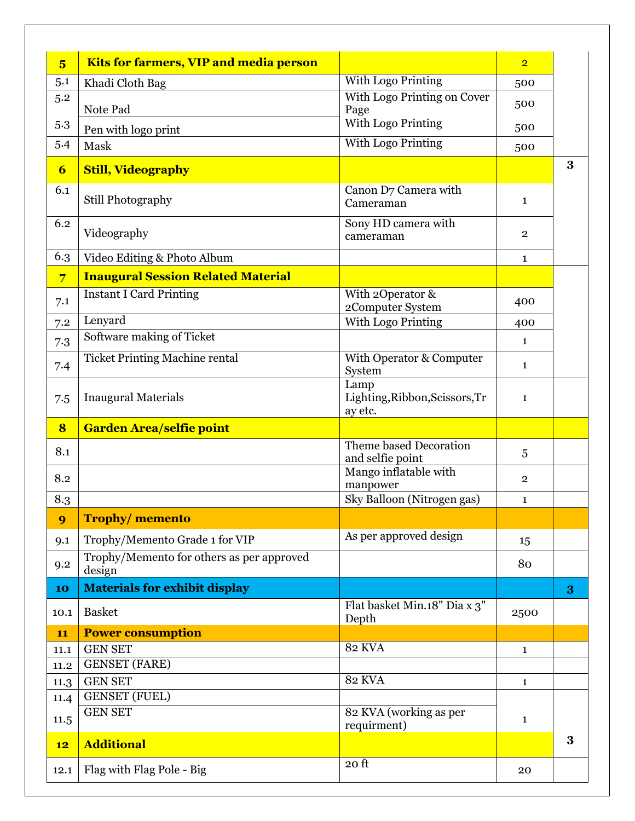| $\overline{\mathbf{5}}$ | <b>Kits for farmers, VIP and media person</b>       |                                                   | $\overline{2}$ |          |
|-------------------------|-----------------------------------------------------|---------------------------------------------------|----------------|----------|
| 5.1                     | Khadi Cloth Bag                                     | With Logo Printing                                | 500            |          |
| 5.2                     | Note Pad                                            | With Logo Printing on Cover<br>Page               | 500            |          |
| 5.3                     | Pen with logo print                                 | <b>With Logo Printing</b>                         | 500            |          |
| 5.4                     | Mask                                                | With Logo Printing                                | 500            |          |
| 6                       | <b>Still, Videography</b>                           |                                                   |                | $\bf{3}$ |
| 6.1                     | Still Photography                                   | Canon D7 Camera with<br>Cameraman                 | $\mathbf{1}$   |          |
| 6.2                     | Videography                                         | Sony HD camera with<br>cameraman                  | $\overline{2}$ |          |
| 6.3                     | Video Editing & Photo Album                         |                                                   | $\mathbf{1}$   |          |
| $\overline{7}$          | <b>Inaugural Session Related Material</b>           |                                                   |                |          |
| 7.1                     | <b>Instant I Card Printing</b>                      | With 2Operator &<br>2Computer System              | 400            |          |
| 7.2                     | Lenyard                                             | With Logo Printing                                | 400            |          |
| 7.3                     | Software making of Ticket                           |                                                   | $\mathbf{1}$   |          |
| 7.4                     | <b>Ticket Printing Machine rental</b>               | With Operator & Computer<br>System                | $\mathbf{1}$   |          |
| 7.5                     | <b>Inaugural Materials</b>                          | Lamp<br>Lighting, Ribbon, Scissors, Tr<br>ay etc. | $\mathbf{1}$   |          |
|                         |                                                     |                                                   |                |          |
| 8                       | <b>Garden Area/selfie point</b>                     |                                                   |                |          |
| 8.1                     |                                                     | Theme based Decoration<br>and selfie point        | 5              |          |
| 8.2                     |                                                     | Mango inflatable with                             | $\overline{2}$ |          |
|                         |                                                     | manpower<br>Sky Balloon (Nitrogen gas)            | $\mathbf{1}$   |          |
| 8.3<br>9                | <b>Trophy/memento</b>                               |                                                   |                |          |
| 9.1                     | Trophy/Memento Grade 1 for VIP                      | As per approved design                            | 15             |          |
| 9.2                     | Trophy/Memento for others as per approved<br>design |                                                   | 80             |          |
| 10                      | <b>Materials for exhibit display</b>                |                                                   |                | 3        |
| 10.1                    | <b>Basket</b>                                       | Flat basket Min.18" Dia x 3"<br>Depth             | 2500           |          |
| 11                      | <b>Power consumption</b>                            |                                                   |                |          |
| 11.1<br>11.2            | <b>GEN SET</b><br><b>GENSET</b> (FARE)              | <b>82 KVA</b>                                     | $\mathbf{1}$   |          |
| 11.3                    | <b>GEN SET</b>                                      | <b>82 KVA</b>                                     | $\mathbf{1}$   |          |
| 11.4                    | <b>GENSET</b> (FUEL)                                |                                                   |                |          |
| 11.5                    | <b>GEN SET</b>                                      | 82 KVA (working as per<br>requirment)             | $\mathbf{1}$   |          |
| 12                      | <b>Additional</b>                                   |                                                   |                | $\bf{3}$ |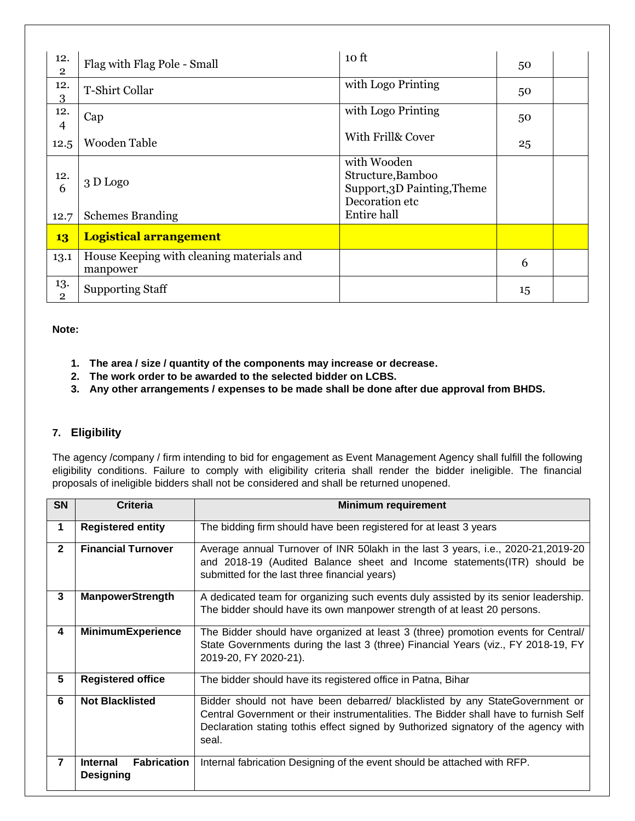| 12.<br>$\overline{2}$ | Flag with Flag Pole - Small                           | 10 <sub>ft</sub>                                                                  | 50 |  |
|-----------------------|-------------------------------------------------------|-----------------------------------------------------------------------------------|----|--|
| 12.<br>3              | T-Shirt Collar                                        | with Logo Printing                                                                | 50 |  |
| 12.<br>$\overline{4}$ | Cap                                                   | with Logo Printing                                                                | 50 |  |
| 12.5                  | Wooden Table                                          | With Frill& Cover                                                                 | 25 |  |
| 12.<br>6              | 3 D Logo                                              | with Wooden<br>Structure, Bamboo<br>Support, 3D Painting, Theme<br>Decoration etc |    |  |
| 12.7                  | <b>Schemes Branding</b>                               | Entire hall                                                                       |    |  |
| 13                    | <b>Logistical arrangement</b>                         |                                                                                   |    |  |
| 13.1                  | House Keeping with cleaning materials and<br>manpower |                                                                                   | 6  |  |
| 13.<br>$\overline{2}$ | <b>Supporting Staff</b>                               |                                                                                   | 15 |  |

#### **Note:**

- **1. The area / size / quantity of the components may increase or decrease.**
- **2. The work order to be awarded to the selected bidder on LCBS.**
- **3. Any other arrangements / expenses to be made shall be done after due approval from BHDS.**

## **7. Eligibility**

The agency /company / firm intending to bid for engagement as Event Management Agency shall fulfill the following eligibility conditions. Failure to comply with eligibility criteria shall render the bidder ineligible. The financial proposals of ineligible bidders shall not be considered and shall be returned unopened.

| <b>SN</b>      | <b>Criteria</b>                                           | <b>Minimum requirement</b>                                                                                                                                                                                                                                          |
|----------------|-----------------------------------------------------------|---------------------------------------------------------------------------------------------------------------------------------------------------------------------------------------------------------------------------------------------------------------------|
| 1              | <b>Registered entity</b>                                  | The bidding firm should have been registered for at least 3 years                                                                                                                                                                                                   |
| $\overline{2}$ | <b>Financial Turnover</b>                                 | Average annual Turnover of INR 50 lakh in the last 3 years, i.e., 2020-21,2019-20<br>and 2018-19 (Audited Balance sheet and Income statements (ITR) should be<br>submitted for the last three financial years)                                                      |
| 3              | <b>ManpowerStrength</b>                                   | A dedicated team for organizing such events duly assisted by its senior leadership.<br>The bidder should have its own manpower strength of at least 20 persons.                                                                                                     |
| 4              | MinimumExperience                                         | The Bidder should have organized at least 3 (three) promotion events for Central/<br>State Governments during the last 3 (three) Financial Years (viz., FY 2018-19, FY<br>2019-20, FY 2020-21).                                                                     |
| 5              | <b>Registered office</b>                                  | The bidder should have its registered office in Patna, Bihar                                                                                                                                                                                                        |
| 6              | <b>Not Blacklisted</b>                                    | Bidder should not have been debarred/ blacklisted by any StateGovernment or<br>Central Government or their instrumentalities. The Bidder shall have to furnish Self<br>Declaration stating tothis effect signed by 9uthorized signatory of the agency with<br>seal. |
| 7              | <b>Fabrication</b><br><b>Internal</b><br><b>Designing</b> | Internal fabrication Designing of the event should be attached with RFP.                                                                                                                                                                                            |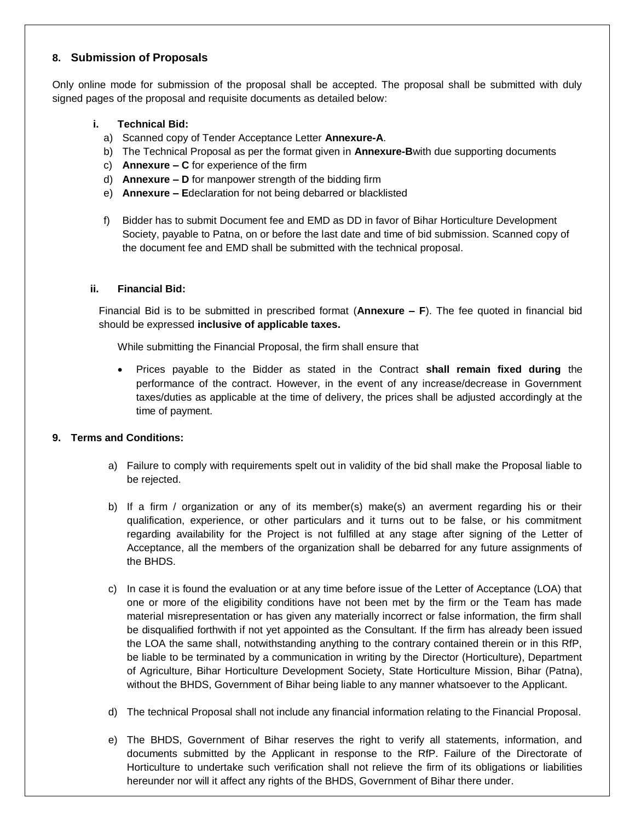### **8. Submission of Proposals**

Only online mode for submission of the proposal shall be accepted. The proposal shall be submitted with duly signed pages of the proposal and requisite documents as detailed below:

#### **i. Technical Bid:**

- a) Scanned copy of Tender Acceptance Letter **Annexure-A**.
- b) The Technical Proposal as per the format given in **Annexure-B**with due supporting documents
- c) **Annexure – C** for experience of the firm
- d) **Annexure – D** for manpower strength of the bidding firm
- e) **Annexure – E**declaration for not being debarred or blacklisted
- f) Bidder has to submit Document fee and EMD as DD in favor of Bihar Horticulture Development Society, payable to Patna, on or before the last date and time of bid submission. Scanned copy of the document fee and EMD shall be submitted with the technical proposal.

#### **ii. Financial Bid:**

Financial Bid is to be submitted in prescribed format (**Annexure – F**). The fee quoted in financial bid should be expressed **inclusive of applicable taxes.**

While submitting the Financial Proposal, the firm shall ensure that

 Prices payable to the Bidder as stated in the Contract **shall remain fixed during** the performance of the contract. However, in the event of any increase/decrease in Government taxes/duties as applicable at the time of delivery, the prices shall be adjusted accordingly at the time of payment.

#### **9. Terms and Conditions:**

- a) Failure to comply with requirements spelt out in validity of the bid shall make the Proposal liable to be rejected.
- b) If a firm / organization or any of its member(s) make(s) an averment regarding his or their qualification, experience, or other particulars and it turns out to be false, or his commitment regarding availability for the Project is not fulfilled at any stage after signing of the Letter of Acceptance, all the members of the organization shall be debarred for any future assignments of the BHDS.
- c) In case it is found the evaluation or at any time before issue of the Letter of Acceptance (LOA) that one or more of the eligibility conditions have not been met by the firm or the Team has made material misrepresentation or has given any materially incorrect or false information, the firm shall be disqualified forthwith if not yet appointed as the Consultant. If the firm has already been issued the LOA the same shall, notwithstanding anything to the contrary contained therein or in this RfP, be liable to be terminated by a communication in writing by the Director (Horticulture), Department of Agriculture, Bihar Horticulture Development Society, State Horticulture Mission, Bihar (Patna), without the BHDS, Government of Bihar being liable to any manner whatsoever to the Applicant.
- d) The technical Proposal shall not include any financial information relating to the Financial Proposal.
- e) The BHDS, Government of Bihar reserves the right to verify all statements, information, and documents submitted by the Applicant in response to the RfP. Failure of the Directorate of Horticulture to undertake such verification shall not relieve the firm of its obligations or liabilities hereunder nor will it affect any rights of the BHDS, Government of Bihar there under.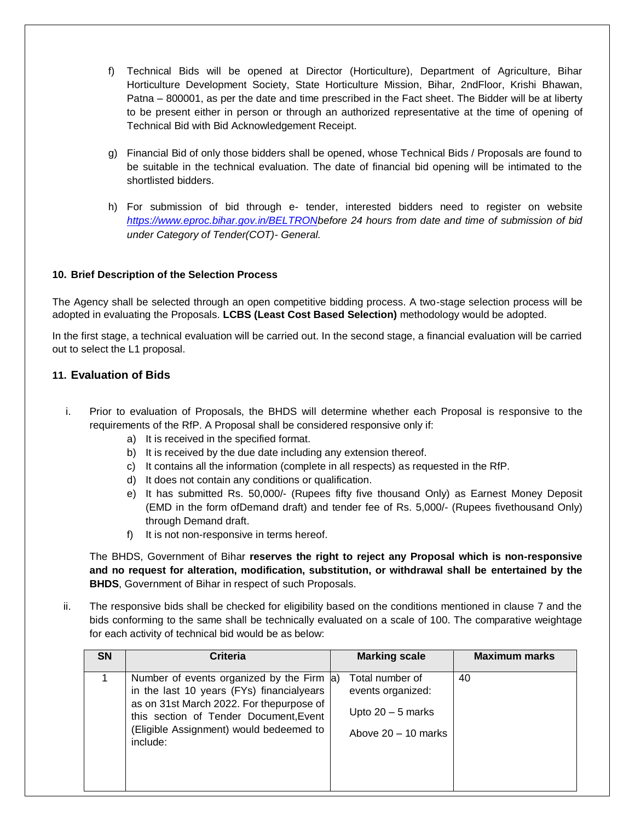- f) Technical Bids will be opened at Director (Horticulture), Department of Agriculture, Bihar Horticulture Development Society, State Horticulture Mission, Bihar, 2ndFloor, Krishi Bhawan, Patna – 800001, as per the date and time prescribed in the Fact sheet. The Bidder will be at liberty to be present either in person or through an authorized representative at the time of opening of Technical Bid with Bid Acknowledgement Receipt.
- g) Financial Bid of only those bidders shall be opened, whose Technical Bids / Proposals are found to be suitable in the technical evaluation. The date of financial bid opening will be intimated to the shortlisted bidders.
- h) For submission of bid through e- tender, interested bidders need to register on website *[https://www.eproc.bihar.gov.in/BELTRONb](https://www.eproc.bihar.gov.in/BELTRON)efore 24 hours from date and time of submission of bid under Category of Tender(COT)- General.*

#### **10. Brief Description of the Selection Process**

The Agency shall be selected through an open competitive bidding process. A two-stage selection process will be adopted in evaluating the Proposals. **LCBS (Least Cost Based Selection)** methodology would be adopted.

In the first stage, a technical evaluation will be carried out. In the second stage, a financial evaluation will be carried out to select the L1 proposal.

#### **11. Evaluation of Bids**

- i. Prior to evaluation of Proposals, the BHDS will determine whether each Proposal is responsive to the requirements of the RfP. A Proposal shall be considered responsive only if:
	- a) It is received in the specified format.
	- b) It is received by the due date including any extension thereof.
	- c) It contains all the information (complete in all respects) as requested in the RfP.
	- d) It does not contain any conditions or qualification.
	- e) It has submitted Rs. 50,000/- (Rupees fifty five thousand Only) as Earnest Money Deposit (EMD in the form ofDemand draft) and tender fee of Rs. 5,000/- (Rupees fivethousand Only) through Demand draft.
	- f) It is not non-responsive in terms hereof.

The BHDS, Government of Bihar **reserves the right to reject any Proposal which is non-responsive and no request for alteration, modification, substitution, or withdrawal shall be entertained by the BHDS**, Government of Bihar in respect of such Proposals.

ii. The responsive bids shall be checked for eligibility based on the conditions mentioned in clause 7 and the bids conforming to the same shall be technically evaluated on a scale of 100. The comparative weightage for each activity of technical bid would be as below:

| <b>SN</b> | Criteria                                                                                                                                                                                                                             | <b>Maximum marks</b><br><b>Marking scale</b>                                               |  |
|-----------|--------------------------------------------------------------------------------------------------------------------------------------------------------------------------------------------------------------------------------------|--------------------------------------------------------------------------------------------|--|
|           | Number of events organized by the Firm (a)<br>in the last 10 years (FYs) financialyears<br>as on 31st March 2022. For thepurpose of<br>this section of Tender Document, Event<br>(Eligible Assignment) would bedeemed to<br>include: | 40<br>Total number of<br>events organized:<br>Upto $20 - 5$ marks<br>Above $20 - 10$ marks |  |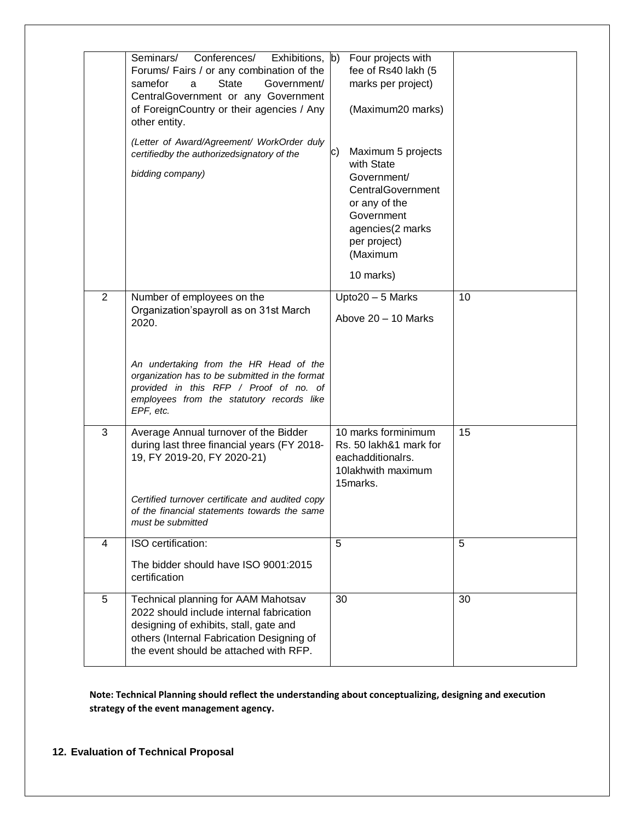|                | Seminars/<br>Conferences/<br>Exhibitions, b)<br>Forums/ Fairs / or any combination of the<br><b>State</b><br>samefor<br>Government/<br>a<br>CentralGovernment or any Government<br>of ForeignCountry or their agencies / Any<br>other entity.<br>(Letter of Award/Agreement/ WorkOrder duly<br>certifiedby the authorizedsignatory of the<br>bidding company) | Four projects with<br>fee of Rs40 lakh (5<br>marks per project)<br>(Maximum20 marks)<br>Maximum 5 projects<br>C)<br>with State<br>Government/<br>CentralGovernment<br>or any of the<br>Government<br>agencies(2 marks<br>per project)<br>(Maximum<br>10 marks) |    |
|----------------|---------------------------------------------------------------------------------------------------------------------------------------------------------------------------------------------------------------------------------------------------------------------------------------------------------------------------------------------------------------|----------------------------------------------------------------------------------------------------------------------------------------------------------------------------------------------------------------------------------------------------------------|----|
| $\overline{2}$ | Number of employees on the<br>Organization'spayroll as on 31st March<br>2020.                                                                                                                                                                                                                                                                                 | Upto20 - 5 Marks<br>Above 20 - 10 Marks                                                                                                                                                                                                                        | 10 |
|                | An undertaking from the HR Head of the<br>organization has to be submitted in the format<br>provided in this RFP / Proof of no. of<br>employees from the statutory records like<br>EPF, etc.                                                                                                                                                                  |                                                                                                                                                                                                                                                                |    |
| 3              | Average Annual turnover of the Bidder<br>during last three financial years (FY 2018-<br>19, FY 2019-20, FY 2020-21)<br>Certified turnover certificate and audited copy                                                                                                                                                                                        | 10 marks forminimum<br>Rs. 50 lakh&1 mark for<br>eachadditionalrs.<br>10lakhwith maximum<br>15marks.                                                                                                                                                           | 15 |
|                | of the financial statements towards the same<br>must be submitted                                                                                                                                                                                                                                                                                             |                                                                                                                                                                                                                                                                |    |
| $\overline{4}$ | ISO certification:<br>The bidder should have ISO 9001:2015<br>certification                                                                                                                                                                                                                                                                                   | 5                                                                                                                                                                                                                                                              | 5  |
| 5              | Technical planning for AAM Mahotsav<br>2022 should include internal fabrication<br>designing of exhibits, stall, gate and<br>others (Internal Fabrication Designing of<br>the event should be attached with RFP.                                                                                                                                              | 30                                                                                                                                                                                                                                                             | 30 |

**Note: Technical Planning should reflect the understanding about conceptualizing, designing and execution strategy of the event management agency.**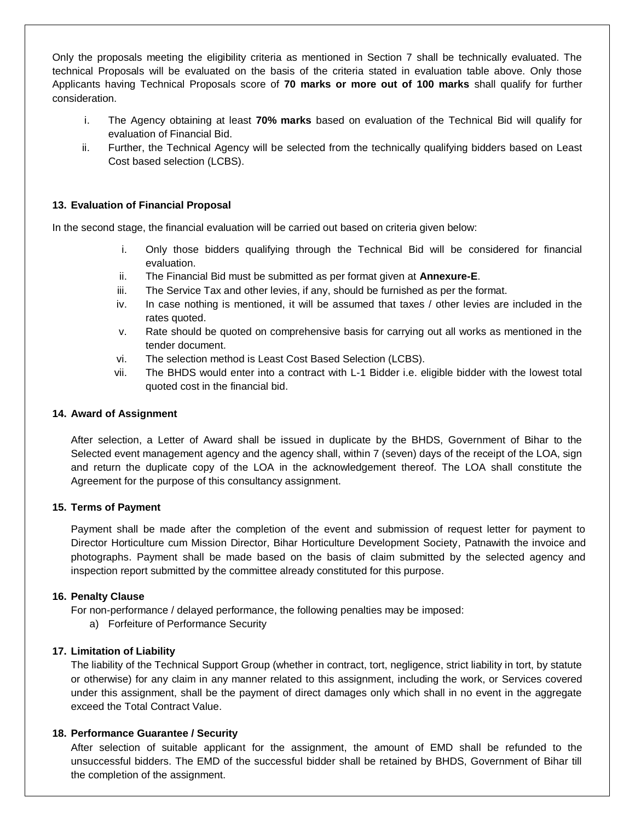Only the proposals meeting the eligibility criteria as mentioned in Section 7 shall be technically evaluated. The technical Proposals will be evaluated on the basis of the criteria stated in evaluation table above. Only those Applicants having Technical Proposals score of **70 marks or more out of 100 marks** shall qualify for further consideration.

- i. The Agency obtaining at least **70% marks** based on evaluation of the Technical Bid will qualify for evaluation of Financial Bid.
- ii. Further, the Technical Agency will be selected from the technically qualifying bidders based on Least Cost based selection (LCBS).

#### **13. Evaluation of Financial Proposal**

In the second stage, the financial evaluation will be carried out based on criteria given below:

- i. Only those bidders qualifying through the Technical Bid will be considered for financial evaluation.
- ii. The Financial Bid must be submitted as per format given at **Annexure-E**.
- iii. The Service Tax and other levies, if any, should be furnished as per the format.
- iv. In case nothing is mentioned, it will be assumed that taxes / other levies are included in the rates quoted.
- v. Rate should be quoted on comprehensive basis for carrying out all works as mentioned in the tender document.
- vi. The selection method is Least Cost Based Selection (LCBS).
- vii. The BHDS would enter into a contract with L-1 Bidder i.e. eligible bidder with the lowest total quoted cost in the financial bid.

#### **14. Award of Assignment**

After selection, a Letter of Award shall be issued in duplicate by the BHDS, Government of Bihar to the Selected event management agency and the agency shall, within 7 (seven) days of the receipt of the LOA, sign and return the duplicate copy of the LOA in the acknowledgement thereof. The LOA shall constitute the Agreement for the purpose of this consultancy assignment.

#### **15. Terms of Payment**

Payment shall be made after the completion of the event and submission of request letter for payment to Director Horticulture cum Mission Director, Bihar Horticulture Development Society, Patnawith the invoice and photographs. Payment shall be made based on the basis of claim submitted by the selected agency and inspection report submitted by the committee already constituted for this purpose.

#### **16. Penalty Clause**

For non-performance / delayed performance, the following penalties may be imposed:

a) Forfeiture of Performance Security

#### **17. Limitation of Liability**

The liability of the Technical Support Group (whether in contract, tort, negligence, strict liability in tort, by statute or otherwise) for any claim in any manner related to this assignment, including the work, or Services covered under this assignment, shall be the payment of direct damages only which shall in no event in the aggregate exceed the Total Contract Value.

#### **18. Performance Guarantee / Security**

After selection of suitable applicant for the assignment, the amount of EMD shall be refunded to the unsuccessful bidders. The EMD of the successful bidder shall be retained by BHDS, Government of Bihar till the completion of the assignment.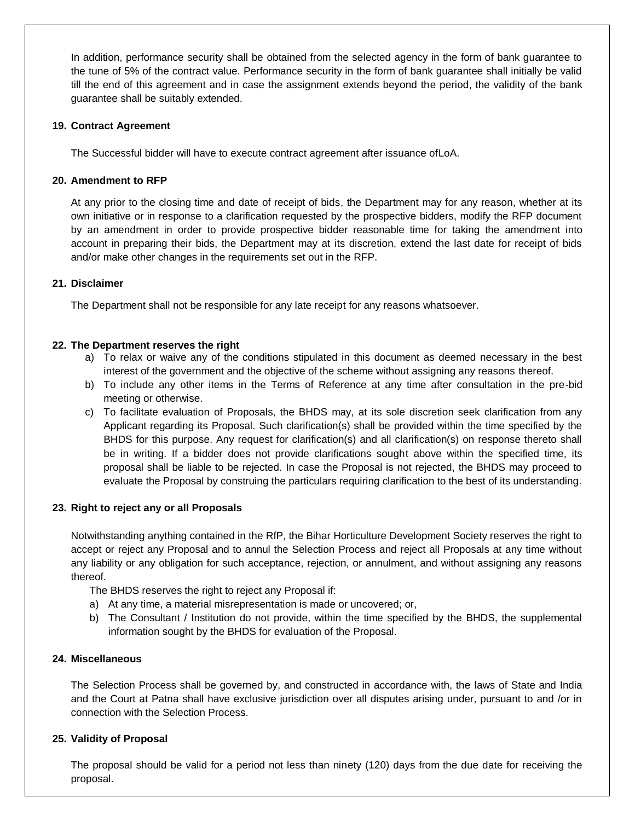In addition, performance security shall be obtained from the selected agency in the form of bank guarantee to the tune of 5% of the contract value. Performance security in the form of bank guarantee shall initially be valid till the end of this agreement and in case the assignment extends beyond the period, the validity of the bank guarantee shall be suitably extended.

#### **19. Contract Agreement**

The Successful bidder will have to execute contract agreement after issuance ofLoA.

#### **20. Amendment to RFP**

At any prior to the closing time and date of receipt of bids, the Department may for any reason, whether at its own initiative or in response to a clarification requested by the prospective bidders, modify the RFP document by an amendment in order to provide prospective bidder reasonable time for taking the amendment into account in preparing their bids, the Department may at its discretion, extend the last date for receipt of bids and/or make other changes in the requirements set out in the RFP.

#### **21. Disclaimer**

The Department shall not be responsible for any late receipt for any reasons whatsoever.

#### **22. The Department reserves the right**

- a) To relax or waive any of the conditions stipulated in this document as deemed necessary in the best interest of the government and the objective of the scheme without assigning any reasons thereof.
- b) To include any other items in the Terms of Reference at any time after consultation in the pre-bid meeting or otherwise.
- c) To facilitate evaluation of Proposals, the BHDS may, at its sole discretion seek clarification from any Applicant regarding its Proposal. Such clarification(s) shall be provided within the time specified by the BHDS for this purpose. Any request for clarification(s) and all clarification(s) on response thereto shall be in writing. If a bidder does not provide clarifications sought above within the specified time, its proposal shall be liable to be rejected. In case the Proposal is not rejected, the BHDS may proceed to evaluate the Proposal by construing the particulars requiring clarification to the best of its understanding.

#### **23. Right to reject any or all Proposals**

Notwithstanding anything contained in the RfP, the Bihar Horticulture Development Society reserves the right to accept or reject any Proposal and to annul the Selection Process and reject all Proposals at any time without any liability or any obligation for such acceptance, rejection, or annulment, and without assigning any reasons thereof.

The BHDS reserves the right to reject any Proposal if:

- a) At any time, a material misrepresentation is made or uncovered; or,
- b) The Consultant / Institution do not provide, within the time specified by the BHDS, the supplemental information sought by the BHDS for evaluation of the Proposal.

### **24. Miscellaneous**

The Selection Process shall be governed by, and constructed in accordance with, the laws of State and India and the Court at Patna shall have exclusive jurisdiction over all disputes arising under, pursuant to and /or in connection with the Selection Process.

#### **25. Validity of Proposal**

The proposal should be valid for a period not less than ninety (120) days from the due date for receiving the proposal.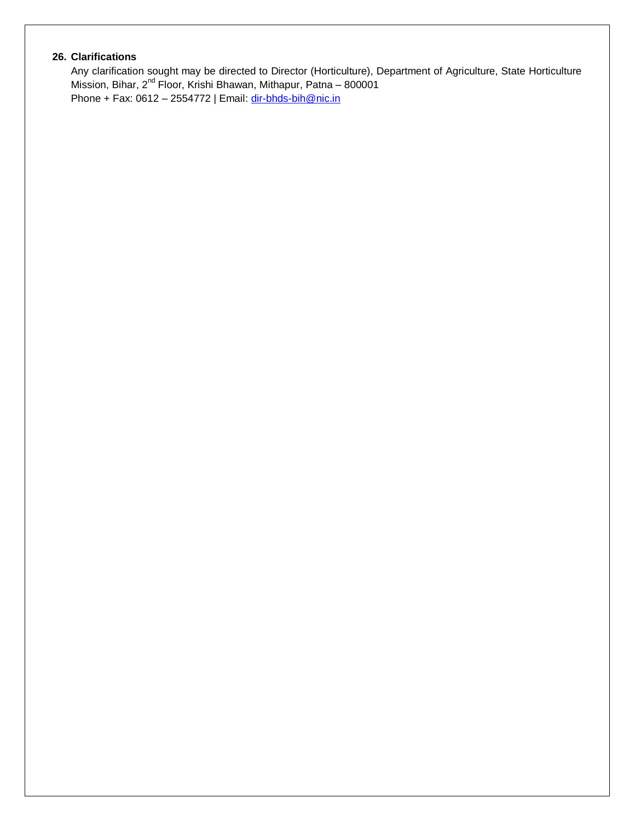### **26. Clarifications**

Any clarification sought may be directed to Director (Horticulture), Department of Agriculture, State Horticulture Mission, Bihar, 2<sup>nd</sup> Floor, Krishi Bhawan, Mithapur, Patna – 800001 Phone + Fax: 0612 – 2554772 | Email: [dir-bhds-bih@nic.in](mailto:dir-bhds-bih@nic.in)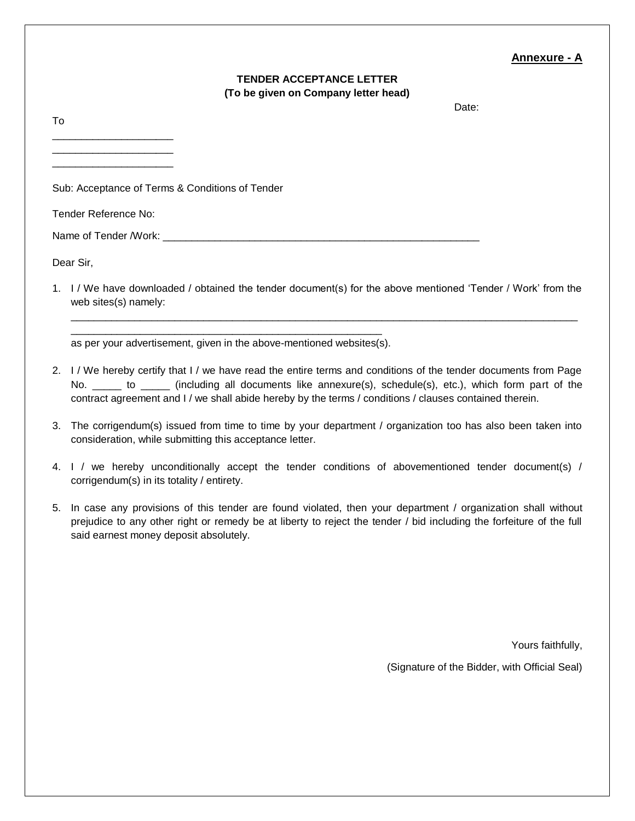#### **Annexure - A**

#### **TENDER ACCEPTANCE LETTER (To be given on Company letter head)**

Date:

To \_\_\_\_\_\_\_\_\_\_\_\_\_\_\_\_\_\_\_\_\_ \_\_\_\_\_\_\_\_\_\_\_\_\_\_\_\_\_\_\_\_\_ \_\_\_\_\_\_\_\_\_\_\_\_\_\_\_\_\_\_\_\_\_ Sub: Acceptance of Terms & Conditions of Tender Tender Reference No: Name of Tender /Work: Dear Sir,

1. I / We have downloaded / obtained the tender document(s) for the above mentioned 'Tender / Work' from the web sites(s) namely:

\_\_\_\_\_\_\_\_\_\_\_\_\_\_\_\_\_\_\_\_\_\_\_\_\_\_\_\_\_\_\_\_\_\_\_\_\_\_\_\_\_\_\_\_\_\_\_\_\_\_\_\_\_\_\_\_\_\_\_\_\_\_\_\_\_\_\_\_\_\_\_\_\_\_\_\_\_\_\_\_\_\_\_\_\_\_\_\_

\_\_\_\_\_\_\_\_\_\_\_\_\_\_\_\_\_\_\_\_\_\_\_\_\_\_\_\_\_\_\_\_\_\_\_\_\_\_\_\_\_\_\_\_\_\_\_\_\_\_\_\_\_\_ as per your advertisement, given in the above-mentioned websites(s).

- 2. I / We hereby certify that I / we have read the entire terms and conditions of the tender documents from Page No. \_\_\_\_\_\_ to \_\_\_\_\_ (including all documents like annexure(s), schedule(s), etc.), which form part of the contract agreement and I / we shall abide hereby by the terms / conditions / clauses contained therein.
- 3. The corrigendum(s) issued from time to time by your department / organization too has also been taken into consideration, while submitting this acceptance letter.
- 4. I / we hereby unconditionally accept the tender conditions of abovementioned tender document(s) / corrigendum(s) in its totality / entirety.
- 5. In case any provisions of this tender are found violated, then your department / organization shall without prejudice to any other right or remedy be at liberty to reject the tender / bid including the forfeiture of the full said earnest money deposit absolutely.

Yours faithfully,

(Signature of the Bidder, with Official Seal)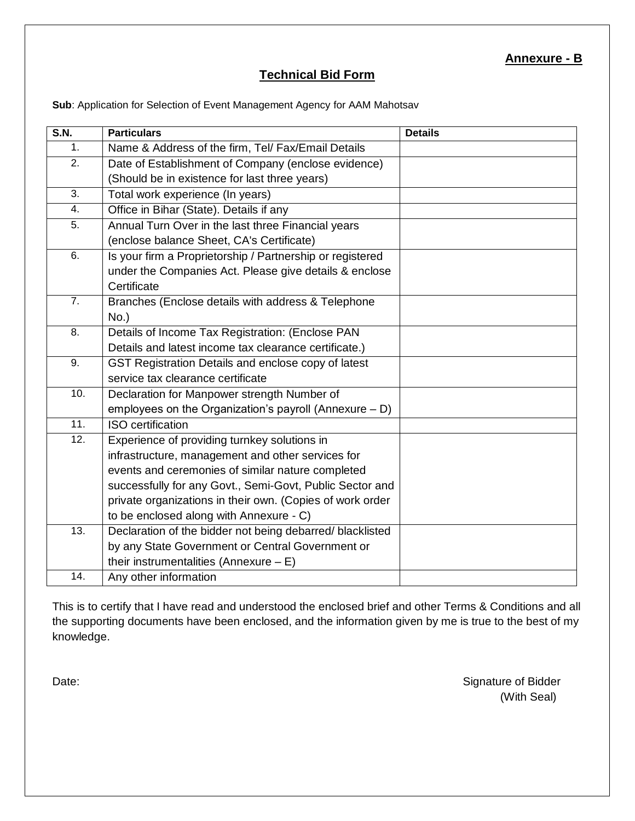# **Technical Bid Form**

**Sub**: Application for Selection of Event Management Agency for AAM Mahotsav

| <b>S.N.</b>      | <b>Particulars</b>                                        | <b>Details</b> |
|------------------|-----------------------------------------------------------|----------------|
| 1.               | Name & Address of the firm, Tel/ Fax/Email Details        |                |
| 2.               | Date of Establishment of Company (enclose evidence)       |                |
|                  | (Should be in existence for last three years)             |                |
| 3.               | Total work experience (In years)                          |                |
| 4.               | Office in Bihar (State). Details if any                   |                |
| 5.               | Annual Turn Over in the last three Financial years        |                |
|                  | (enclose balance Sheet, CA's Certificate)                 |                |
| 6.               | Is your firm a Proprietorship / Partnership or registered |                |
|                  | under the Companies Act. Please give details & enclose    |                |
|                  | Certificate                                               |                |
| $\overline{7}$ . | Branches (Enclose details with address & Telephone        |                |
|                  | $No.$ )                                                   |                |
| 8.               | Details of Income Tax Registration: (Enclose PAN          |                |
|                  | Details and latest income tax clearance certificate.)     |                |
| 9.               | GST Registration Details and enclose copy of latest       |                |
|                  | service tax clearance certificate                         |                |
| 10.              | Declaration for Manpower strength Number of               |                |
|                  | employees on the Organization's payroll (Annexure $- D$ ) |                |
| 11.              | <b>ISO</b> certification                                  |                |
| 12.              | Experience of providing turnkey solutions in              |                |
|                  | infrastructure, management and other services for         |                |
|                  | events and ceremonies of similar nature completed         |                |
|                  | successfully for any Govt., Semi-Govt, Public Sector and  |                |
|                  | private organizations in their own. (Copies of work order |                |
|                  | to be enclosed along with Annexure - C)                   |                |
| 13.              | Declaration of the bidder not being debarred/ blacklisted |                |
|                  | by any State Government or Central Government or          |                |
|                  | their instrumentalities (Annexure $- E$ )                 |                |
| 14.              | Any other information                                     |                |

This is to certify that I have read and understood the enclosed brief and other Terms & Conditions and all the supporting documents have been enclosed, and the information given by me is true to the best of my knowledge.

Date: Signature of Bidder (With Seal)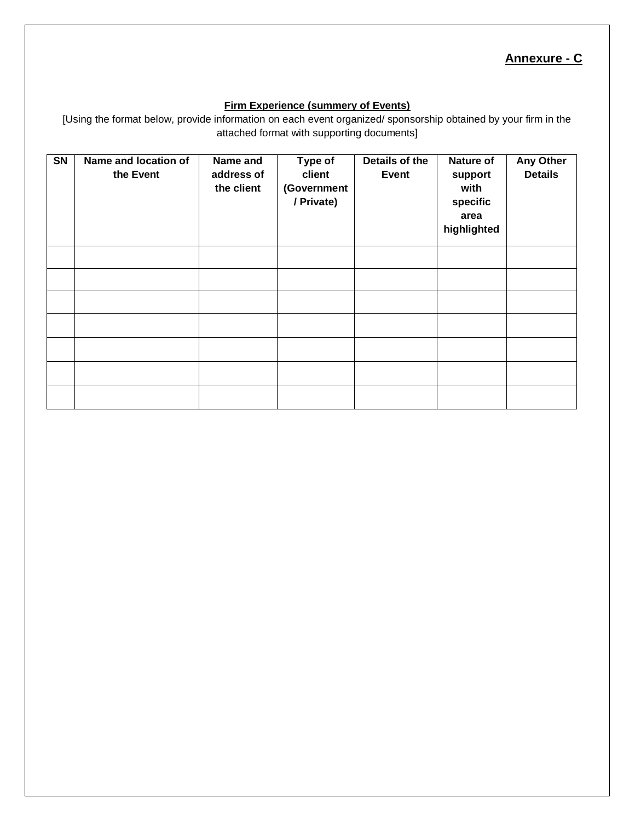# **Annexure - C**

#### **Firm Experience (summery of Events)**

[Using the format below, provide information on each event organized/ sponsorship obtained by your firm in the attached format with supporting documents]

| $\overline{\text{SN}}$ | Name and location of<br>the Event | Name and<br>address of<br>the client | Type of<br>client<br>(Government<br>/ Private) | Details of the<br><b>Event</b> | Nature of<br>support<br>with<br>specific<br>area<br>highlighted | <b>Any Other</b><br><b>Details</b> |
|------------------------|-----------------------------------|--------------------------------------|------------------------------------------------|--------------------------------|-----------------------------------------------------------------|------------------------------------|
|                        |                                   |                                      |                                                |                                |                                                                 |                                    |
|                        |                                   |                                      |                                                |                                |                                                                 |                                    |
|                        |                                   |                                      |                                                |                                |                                                                 |                                    |
|                        |                                   |                                      |                                                |                                |                                                                 |                                    |
|                        |                                   |                                      |                                                |                                |                                                                 |                                    |
|                        |                                   |                                      |                                                |                                |                                                                 |                                    |
|                        |                                   |                                      |                                                |                                |                                                                 |                                    |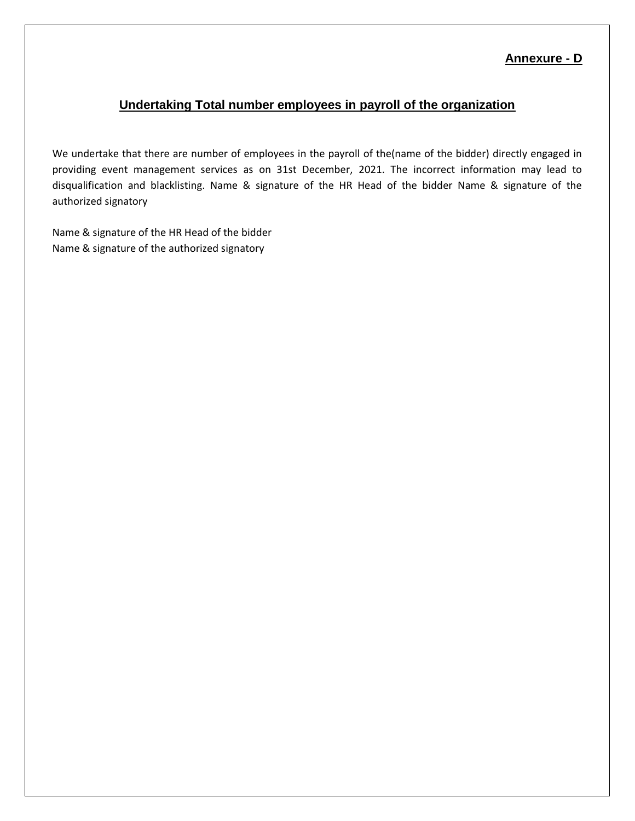## **Annexure - D**

# **Undertaking Total number employees in payroll of the organization**

We undertake that there are number of employees in the payroll of the(name of the bidder) directly engaged in providing event management services as on 31st December, 2021. The incorrect information may lead to disqualification and blacklisting. Name & signature of the HR Head of the bidder Name & signature of the authorized signatory

Name & signature of the HR Head of the bidder Name & signature of the authorized signatory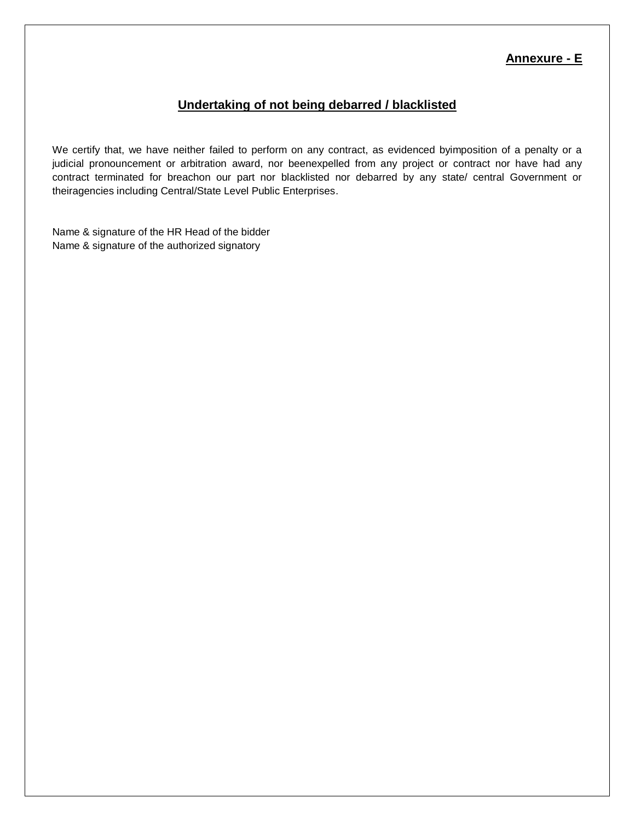# **Annexure - E**

# **Undertaking of not being debarred / blacklisted**

We certify that, we have neither failed to perform on any contract, as evidenced byimposition of a penalty or a judicial pronouncement or arbitration award, nor beenexpelled from any project or contract nor have had any contract terminated for breachon our part nor blacklisted nor debarred by any state/ central Government or theiragencies including Central/State Level Public Enterprises.

Name & signature of the HR Head of the bidder Name & signature of the authorized signatory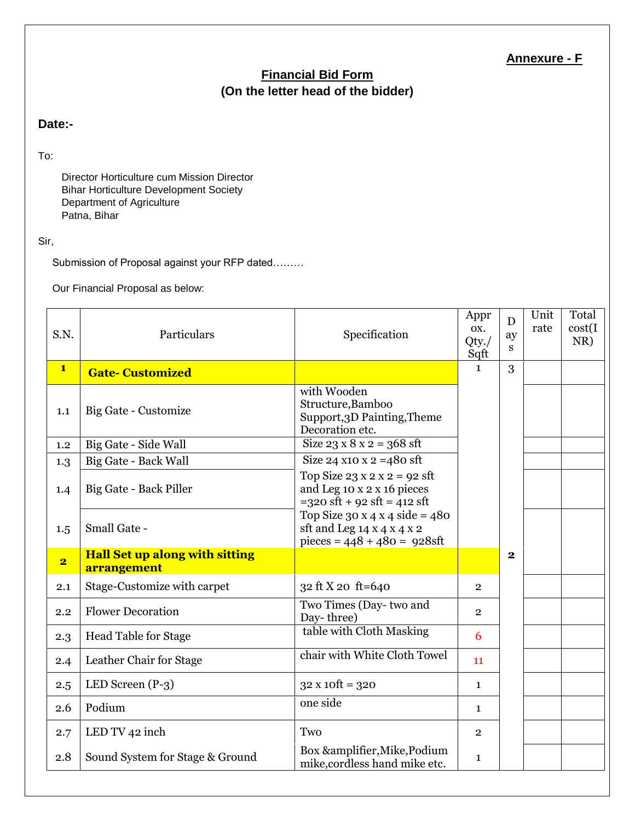# **Annexure - F**

# **Financial Bid Form (On the letter head of the bidder)**

# **Date:-**

To:

Director Horticulture cum Mission Director Bihar Horticulture Development Society Department of Agriculture Patna, Bihar

#### Sir,

Submission of Proposal against your RFP dated………

Our Financial Proposal as below:

| S.N.                    | Particulars                                          | Specification                                                                                                                   | Appr<br>OX.<br>Qty./<br>Sqft | D<br>ay<br>S | Unit<br>rate | Total<br>cost(I)<br>NR) |
|-------------------------|------------------------------------------------------|---------------------------------------------------------------------------------------------------------------------------------|------------------------------|--------------|--------------|-------------------------|
| $\mathbf{1}$            | <b>Gate-Customized</b>                               |                                                                                                                                 | $\mathbf{1}$                 | 3            |              |                         |
| 1.1                     | Big Gate - Customize                                 | with Wooden<br>Structure, Bamboo<br>Support, 3D Painting, Theme<br>Decoration etc.                                              |                              |              |              |                         |
| 1.2                     | Big Gate - Side Wall                                 | Size $23 \times 8 \times 2 = 368$ sft                                                                                           |                              |              |              |                         |
| 1.3                     | Big Gate - Back Wall                                 | Size 24 x10 x 2 = 480 sft                                                                                                       |                              |              |              |                         |
| 1.4                     | Big Gate - Back Piller                               | Top Size $23 \times 2 \times 2 = 92$ sft<br>and Leg 10 x 2 x 16 pieces<br>$=320 \text{ sft} + 92 \text{ sft} = 412 \text{ sft}$ |                              |              |              |                         |
| 1.5                     | Small Gate -                                         | Top Size $30 \times 4 \times 4$ side = 480<br>sft and Leg $14 \times 4 \times 4 \times 2$<br>pieces = $448 + 480 = 928$ sft     |                              |              |              |                         |
| $\overline{\mathbf{2}}$ | <b>Hall Set up along with sitting</b><br>arrangement |                                                                                                                                 |                              | $\mathbf 2$  |              |                         |
| 2.1                     | Stage-Customize with carpet                          | 32 ft X 20 ft=640                                                                                                               | $\overline{2}$               |              |              |                         |
| 2.2                     | <b>Flower Decoration</b>                             | Two Times (Day-two and<br>Day-three)                                                                                            | $\overline{2}$               |              |              |                         |
| 2.3                     | <b>Head Table for Stage</b>                          | table with Cloth Masking                                                                                                        | 6                            |              |              |                         |
| 2.4                     | Leather Chair for Stage                              | chair with White Cloth Towel                                                                                                    | 11                           |              |              |                         |
| 2.5                     | LED Screen $(P-3)$                                   | $32 \times 10 \text{ft} = 320$                                                                                                  | $\mathbf{1}$                 |              |              |                         |
| 2.6                     | Podium                                               | one side                                                                                                                        | $\mathbf{1}$                 |              |              |                         |
| 2.7                     | LED TV 42 inch                                       | Two                                                                                                                             | $\overline{2}$               |              |              |                         |
| 2.8                     | Sound System for Stage & Ground                      | Box &amplifier, Mike, Podium<br>mike, cordless hand mike etc.                                                                   | $\mathbf{1}$                 |              |              |                         |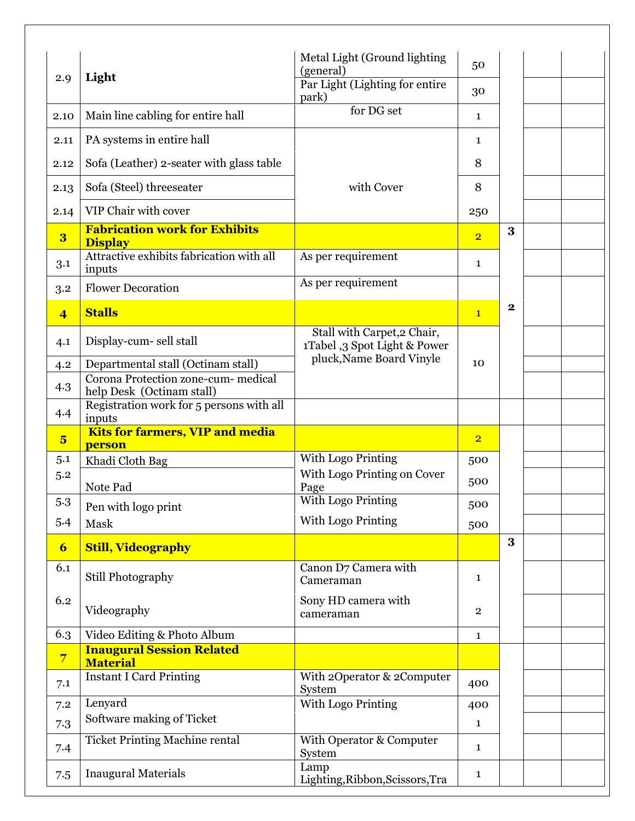|                         |                                                                           | Metal Light (Ground lighting<br>(general)                   | 50             |          |  |
|-------------------------|---------------------------------------------------------------------------|-------------------------------------------------------------|----------------|----------|--|
| 2.9                     | Light                                                                     | Par Light (Lighting for entire<br>park)                     | 30             |          |  |
| 2.10                    | Main line cabling for entire hall                                         | for DG set                                                  | $\mathbf{1}$   |          |  |
| 2.11                    | PA systems in entire hall                                                 |                                                             | 1              |          |  |
| 2.12                    | Sofa (Leather) 2-seater with glass table                                  |                                                             | 8              |          |  |
| 2.13                    | Sofa (Steel) threeseater                                                  | with Cover                                                  | 8              |          |  |
| 2.14                    | VIP Chair with cover                                                      |                                                             | 250            |          |  |
| $\overline{\mathbf{3}}$ | <b>Fabrication work for Exhibits</b><br><b>Display</b>                    |                                                             | $\overline{2}$ | 3        |  |
| 3.1                     | Attractive exhibits fabrication with all<br>inputs                        | As per requirement                                          | $\mathbf{1}$   |          |  |
| 3.2                     | <b>Flower Decoration</b>                                                  | As per requirement                                          |                |          |  |
| $\overline{4}$          | <b>Stalls</b>                                                             |                                                             | $\mathbf{1}$   | $\bf{2}$ |  |
| 4.1                     | Display-cum- sell stall                                                   | Stall with Carpet, 2 Chair,<br>1Tabel ,3 Spot Light & Power |                |          |  |
| 4.2                     | Departmental stall (Octinam stall)<br>Corona Protection zone-cum- medical | pluck, Name Board Vinyle                                    | 10             |          |  |
| 4.3                     | help Desk (Octinam stall)                                                 |                                                             |                |          |  |
| 4.4                     | Registration work for 5 persons with all<br>inputs                        |                                                             |                |          |  |
| $5\overline{)}$         | <b>Kits for farmers, VIP and media</b><br>person                          |                                                             | $\overline{2}$ |          |  |
| 5.1                     | Khadi Cloth Bag                                                           | With Logo Printing                                          | 500            |          |  |
| 5.2                     | Note Pad                                                                  | With Logo Printing on Cover<br>Page                         | 500            |          |  |
| 5.3                     | Pen with logo print                                                       | <b>With Logo Printing</b>                                   | 500            |          |  |
| 5.4                     | Mask                                                                      | With Logo Printing                                          | 500            |          |  |
| $\boldsymbol{6}$        | <b>Still, Videography</b>                                                 |                                                             |                | $\bf{3}$ |  |
| 6.1                     | Still Photography                                                         | Canon D7 Camera with<br>Cameraman                           | $\mathbf{1}$   |          |  |
| 6.2                     | Videography                                                               | Sony HD camera with<br>cameraman                            | $\overline{2}$ |          |  |
| 6.3                     | Video Editing & Photo Album                                               |                                                             | $\mathbf{1}$   |          |  |
| $\overline{7}$          | <b>Inaugural Session Related</b><br><b>Material</b>                       |                                                             |                |          |  |
| 7.1                     | <b>Instant I Card Printing</b>                                            | With 2Operator & 2Computer<br>System                        | 400            |          |  |
| 7.2                     | Lenyard                                                                   | With Logo Printing                                          | 400            |          |  |
| 7.3                     | Software making of Ticket                                                 |                                                             | $\mathbf{1}$   |          |  |
| 7.4                     | <b>Ticket Printing Machine rental</b>                                     | With Operator & Computer<br>System                          | 1              |          |  |
| 7.5                     | <b>Inaugural Materials</b>                                                | Lamp<br>Lighting, Ribbon, Scissors, Tra                     | 1              |          |  |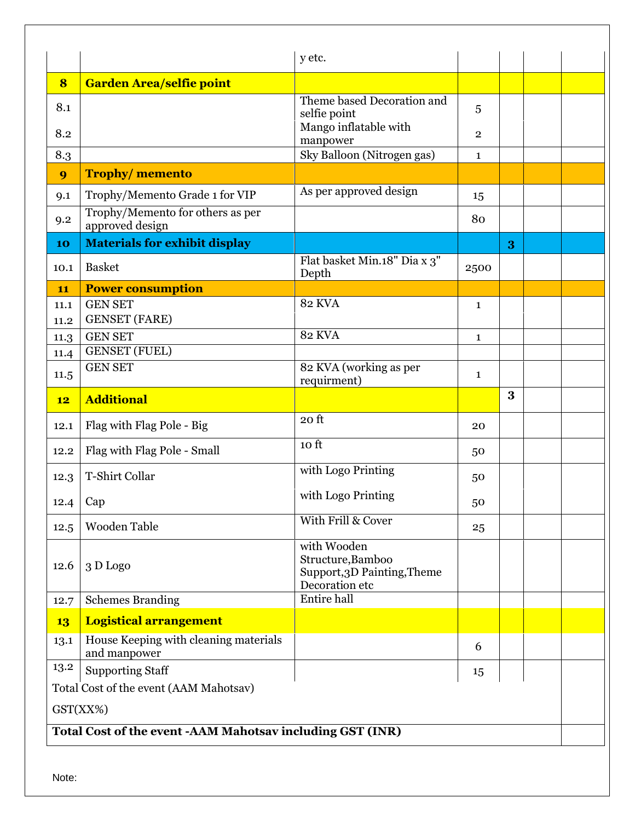|      |                                                                       | y etc.                                                          |                |   |  |
|------|-----------------------------------------------------------------------|-----------------------------------------------------------------|----------------|---|--|
| 8    | <b>Garden Area/selfie point</b>                                       |                                                                 |                |   |  |
| 8.1  |                                                                       | Theme based Decoration and<br>selfie point                      | 5              |   |  |
| 8.2  |                                                                       | Mango inflatable with<br>manpower                               | $\overline{2}$ |   |  |
| 8.3  |                                                                       | Sky Balloon (Nitrogen gas)                                      | $\mathbf{1}$   |   |  |
| 9    | <b>Trophy/memento</b>                                                 |                                                                 |                |   |  |
| 9.1  | Trophy/Memento Grade 1 for VIP                                        | As per approved design                                          | 15             |   |  |
| 9.2  | Trophy/Memento for others as per<br>approved design                   |                                                                 | 80             |   |  |
| 10   | <b>Materials for exhibit display</b>                                  |                                                                 |                | 3 |  |
| 10.1 | <b>Basket</b>                                                         | Flat basket Min.18" Dia x 3"<br>Depth                           | 2500           |   |  |
| 11   | <b>Power consumption</b>                                              |                                                                 |                |   |  |
| 11.1 | <b>GEN SET</b>                                                        | <b>82 KVA</b>                                                   | $\mathbf{1}$   |   |  |
| 11.2 | <b>GENSET</b> (FARE)                                                  |                                                                 |                |   |  |
| 11.3 | <b>GEN SET</b>                                                        | <b>82 KVA</b>                                                   | $\mathbf{1}$   |   |  |
| 11.4 | <b>GENSET</b> (FUEL)                                                  |                                                                 |                |   |  |
| 11.5 | <b>GEN SET</b>                                                        | 82 KVA (working as per<br>requirment)                           | $\mathbf{1}$   |   |  |
|      |                                                                       |                                                                 |                | 3 |  |
| 12   | <b>Additional</b>                                                     |                                                                 |                |   |  |
| 12.1 | Flag with Flag Pole - Big                                             | 20 <sub>ft</sub>                                                | 20             |   |  |
| 12.2 | Flag with Flag Pole - Small                                           | 10 <sub>ft</sub>                                                | 50             |   |  |
| 12.3 | T-Shirt Collar                                                        | with Logo Printing                                              | 50             |   |  |
| 12.4 | Cap                                                                   | with Logo Printing                                              | 50             |   |  |
| 12.5 | Wooden Table                                                          | With Frill & Cover                                              | 25             |   |  |
| 12.6 | 3 D Logo                                                              | with Wooden<br>Structure, Bamboo<br>Support, 3D Painting, Theme |                |   |  |
| 12.7 | <b>Schemes Branding</b>                                               | Decoration etc<br>Entire hall                                   |                |   |  |
| 13   | <b>Logistical arrangement</b>                                         |                                                                 |                |   |  |
| 13.1 | House Keeping with cleaning materials<br>and manpower                 |                                                                 | 6              |   |  |
| 13.2 | <b>Supporting Staff</b>                                               |                                                                 | 15             |   |  |
|      | Total Cost of the event (AAM Mahotsav)                                |                                                                 |                |   |  |
|      |                                                                       |                                                                 |                |   |  |
|      | GST(XX%)<br>Total Cost of the event -AAM Mahotsav including GST (INR) |                                                                 |                |   |  |